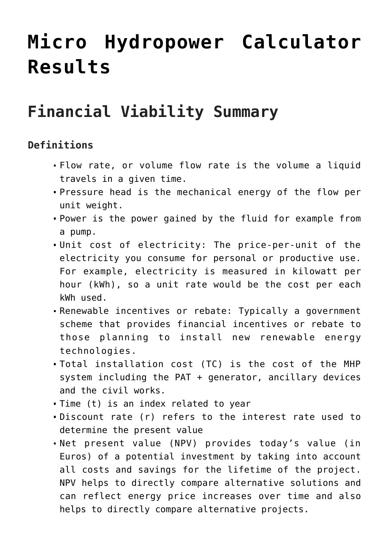## **[Micro Hydropower Calculator](https://eportal.redawn.eu/micro-hydropower-calculator-results/) [Results](https://eportal.redawn.eu/micro-hydropower-calculator-results/)**

## **Financial Viability Summary**

## **Definitions**

- Flow rate, or volume flow rate is the volume a liquid travels in a given time.
- Pressure head is the mechanical energy of the flow per unit weight.
- Power is the power gained by the fluid for example from a pump.
- Unit cost of electricity: The price-per-unit of the electricity you consume for personal or productive use. For example, electricity is measured in kilowatt per hour (kWh), so a unit rate would be the cost per each kWh used.
- Renewable incentives or rebate: Typically a government scheme that provides financial incentives or rebate to those planning to install new renewable energy technologies.
- Total installation cost (TC) is the cost of the MHP system including the PAT + generator, ancillary devices and the civil works.
- Time (t) is an index related to year
- Discount rate (r) refers to the interest rate used to determine the present value
- Net present value (NPV) provides today's value (in Euros) of a potential investment by taking into account all costs and savings for the lifetime of the project. NPV helps to directly compare alternative solutions and can reflect energy price increases over time and also helps to directly compare alternative projects.